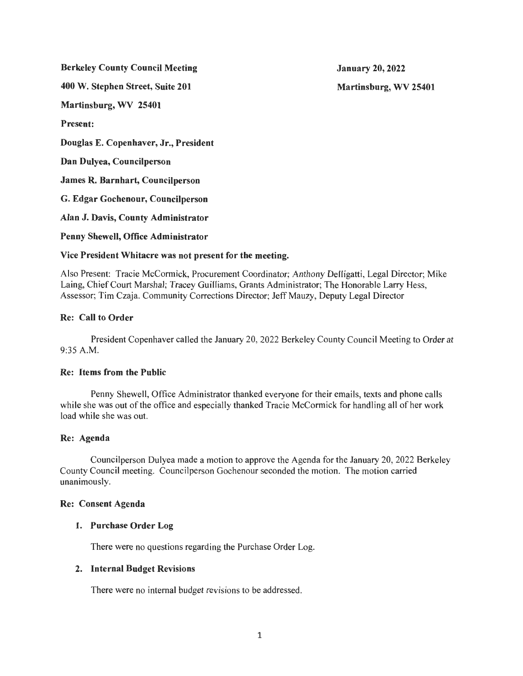Berkeley County Council Meeting

400 W. Stephen Street, Suite 201

Martinsburg, WV 25401

Present:

Douglas E. Copenhaver, Jr., President

Dan Dulyea, Councilperson

James R. Barnhart, Councilperson

G. Edgar Gochenour, Councilperson

Alan J. Davis, County Administrator

Penny Shewell, Office Administrator

# Vice President Whitacre was not present for the meeting.

Also Present: Tracie McCormick, Procurement Coordinator; Anthony Delligatti, Legal Director; Mike Laing, Chief Court Marshal; Tracey Guilliams, Grants Administrator; The Honorable Larry Hess, Assessor; Tim Czaja. Community Corrections Director; Jeff Mauzy, Deputy Legal Director

# Re: Call to Order

President Copenhaver called the January 20, 2022 Berkeley County Council Meeting to Order at 9:35 A.M.

## Re: Items from the Public

Penny Shewell, Office Administrator thanked everyone for their emails, texts and phone calls while she was out of the office and especially thanked Tracie McCormick for handling all of her work load while she was out.

## Re: Agenda

Councilperson Dulyea made a motion to approve the Agenda for the January 20, 2022 Berkeley County Council meeting. Councilperson Gochenour seconded the motion. The motion carried unanimously.

## Re: Consent Agenda

## 1. Purchase Order Log

There were no questions regarding the Purchase Order Log.

## 2. Internal Budget Revisions

There were no internal budget revisions to be addressed.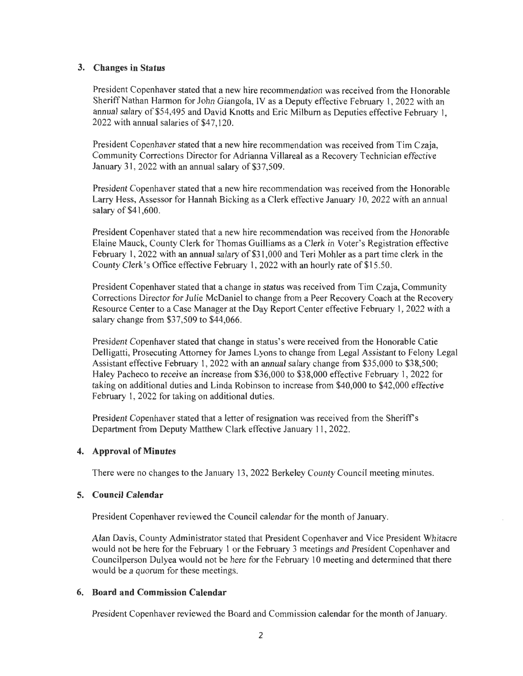## **3. Changes in Status**

President Copenhaver stated that a new hire recommendation was received from the Honorable Sheriff Nathan Harmon for John Giangola, IV as a Deputy effective February I, 2022 with an annual salary of \$54,495 and David Knotts and Eric Milburn as Deputies effective February I, 2022 with annual salaries of \$47,120.

President Copenhaver stated that a new hire recommendation was received from Tim Czaja, Community Corrections Director for Adrianna Villareal as a Recovery Technician effective January 31, 2022 with an annual salary of  $$37,509$ .

President Copenhaver stated that a new hire recommendation was received from the Honorable Larry Hess, Assessor for Hannah Bicking as a Clerk effective January 10, 2022 with an annual salary of \$41,600.

President Copenhaver stated that a new hire recommendation was received from the Honorable Elaine Mauck, County Clerk for Thomas Guilliams as a Clerk in Voter's Registration effective February 1, 2022 with an annual salary of \$31 ,000 and Teri Mohler as a part time clerk in the County Clerk's Office effective February 1, 2022 with an hourly rate of \$15.50.

President Copenhaver stated that a change in status was received from Tim Czaja, Community Corrections Director for Julie McDaniel to change from a Peer Recovery Coach at the Recovery Resource Center to a Case Manager at the Day Report Center effective February 1, 2022 with a salary change from \$37,509 to \$44,066.

President Copenhaver stated that change in status's were received from the Honorable Catie Delligatti, Prosecuting Attorney for James Lyons to change from Legal Assistant to Felony Legal Assistant effective February 1, 2022 with an annual salary change from \$35,000 to \$38,500; Haley Pacheco to receive an increase from \$36,000 to \$38,000 effective February 1, 2022 for taking on additional duties and Linda Robinson to increase from \$40,000 to \$42,000 effective February I, 2022 for taking on additional duties.

President Copenhaver stated that a letter of resignation was received from the Sheriff's Department from Deputy Matthew Clark effective January 11, 2022.

## **4. Approval of Minutes**

There were no changes to the January 13 , 2022 Berkeley County Council meeting minutes.

#### **5. Council Calendar**

President Copenhaver reviewed the Council calendar for the month of January.

Alan Davis, County Administrator stated that President Copenhaver and Vice President Whitacre would not be here for the February I or the February 3 meetings and President Copenhaver and Councilperson Dulyea would not be here for the February 10 meeting and determined that there would be a quorum for these meetings.

#### **6. Board and Commission Calendar**

President Copenhaver reviewed the Board and Commission calendar for the month of January.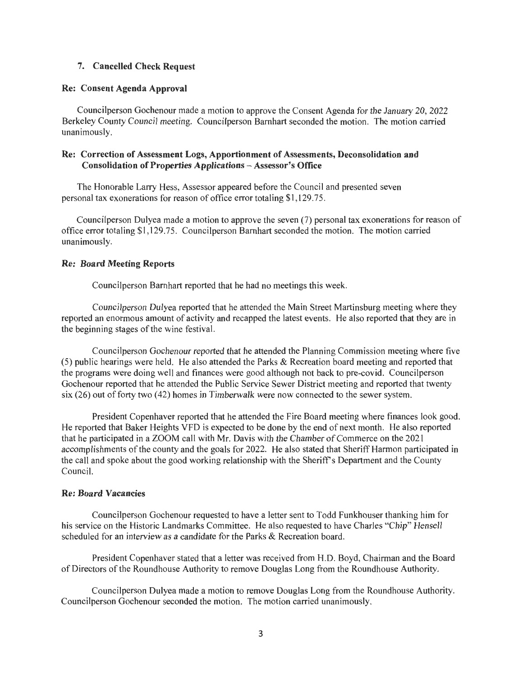### **7. Cancelled Check Request**

#### **Re: Consent Agenda Approval**

Councilperson Gochenour made a motion to approve the Consent Agenda for the January 20, 2022 Berkeley County Council meeting. Councilperson Barnhart seconded the motion. The motion carried unanimously.

## **Re: Correction of Assessment Logs, Apportionment of Assessments, Deconsolidation and Consolidation of Properties Applications** - Assessor's **Office**

The Honorable Larry Hess, Assessor appeared before the Council and presented seven personal tax exonerations for reason of office error totaling \$1 , 129.75.

Councilperson Dulyea made a motion to approve the seven (7) personal tax exonerations for reason of office error totaling \$1 , 129.75. Councilperson Barnhart seconded the motion. The motion carried unanimously.

#### **Re: Board Meeting Reports**

Councilperson Barnhart reported that he had no meetings this week.

Councilperson Dulyea reported that he attended the Main Street Martinsburg meeting where they reported an enormous amount of activity and recapped the latest events. He also reported that they are in the beginning stages of the wine festival.

Councilperson Gochenour reported that he attended the Planning Commission meeting where five (5) public hearings were held. He also attended the Parks & Recreation board meeting and reported that the programs were doing well and finances were good although not back to pre-covid. Councilperson Gochenour reported that he attended the Public Service Sewer District meeting and reported that twenty six (26) out of forty two (42) homes in Timberwalk were now connected to the sewer system.

President Copenhaver reported that he attended the Fire Board meeting where finances look good. He reported that Baker Heights VFD is expected to be done by the end of next month. He also reported that he participated in a ZOOM call with Mr. Davis with the Chamber of Commerce on the 2021 accomplishments of the county and the goals for 2022. He also stated that Sheriff Harmon participated in the call and spoke about the good working relationship with the Sheriff's Department and the County Council.

### **Re: Board Vacancies**

Councilperson Gochenour requested to have a letter sent to Todd Funkhouser thanking him for his service on the Historic Landmarks Committee. He also requested to have Charles "Chip" Hensell scheduled for an interview as a candidate for the Parks & Recreation board.

President Copenhaver stated that a letter was received from H.D. Boyd, Chairman and the Board of Directors of the Roundhouse Authority to remove Douglas Long from the Roundhouse Authority.

Councilperson Dulyea made a motion to remove Douglas Long from the Roundhouse Authority. Councilperson Gochenour seconded the motion. The motion carried unanimously.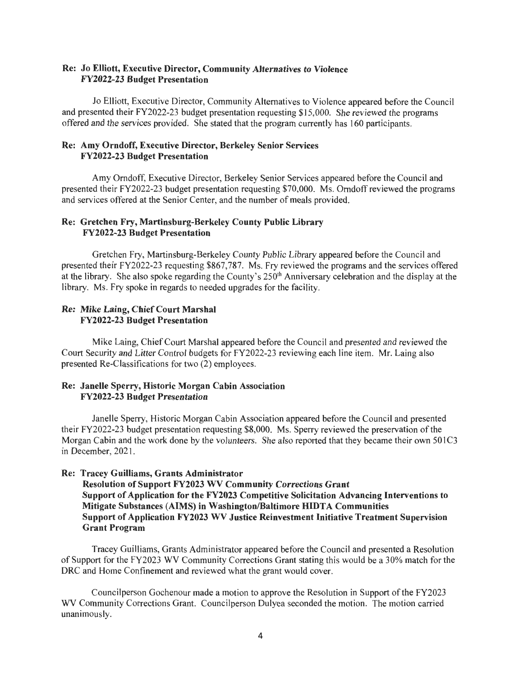### Re: Jo Elliott, Executive Director, Community Alternatives to Violence FY2022-23 Budget Presentation

Jo Elliott, Executive Director, Community Alternatives to Violence appeared before the Council and presented their FY2022-23 budget presentation requesting \$15,000. She reviewed the programs offered and the services provided. She stated that the program currently has 160 participants.

### Re: Amy Orndoff, Executive Director, Berkeley Senior Services FY2022-23 Budget Presentation

Amy Orndoff, Executive Director, Berkeley Senior Services appeared before the Council and presented their FY2022-23 budget presentation requesting \$70,000. Ms. Orndoff reviewed the programs and services offered at the Senior Center, and the number of meals provided.

## Re: Gretchen Fry, Martinsburg-Berkeley County Public Library FY2022-23 Budget Presentation

Gretchen Fry, Martinsburg-Berkeley County Public Library appeared before the Council and presented their FY2022-23 requesting \$867,787. Ms. Fry reviewed the programs and the services offered at the library. She also spoke regarding the County's 250<sup>th</sup> Anniversary celebration and the display at the library. Ms. Fry spoke in regards to needed upgrades for the facility.

## Re: Mike Laing, Chief Court Marshal FY2022-23 Budget Presentation

Mike Laing, Chief Court Marshal appeared before the Council and presented and reviewed the Court Security and Litter Control budgets for FY2022-23 reviewing each line item. Mr. Laing also presented Re-Classifications for two (2) employees.

## Re: Janelle Sperry, Historic Morgan Cabin Association FY2022-23 Budget Presentation

Janelle Sperry, Historic Morgan Cabin Association appeared before the Council and presented their FY2022-23 budget presentation requesting \$8,000. Ms. Sperry reviewed the preservation of the Morgan Cabin and the work done by the volunteers. She also reported that they became their own 501C3 in December, 2021.

## Re: Tracey Guilliams, Grants Administrator

Resolution of Support FY2023 WV Community Corrections Grant Support of Application for the FY2023 Competitive Solicitation Advancing Interventions to Mitigate Substances (AIMS) in Washington/Baltimore HIDTA Communities Support of Application FY2023 WV Justice Reinvestment Initiative Treatment Supervision Grant Program

Tracey Guilliams, Grants Administrator appeared before the Council and presented a Resolution of Support for the FY2023 WV Community Corrections Grant stating this would be a 30% match for the DRC and Home Confinement and reviewed what the grant would cover.

Councilperson Gochenour made a motion to approve the Resolution in Support of the FY2023 WV Community Corrections Grant. Councilperson Dulyea seconded the motion. The motion carried unanimously.